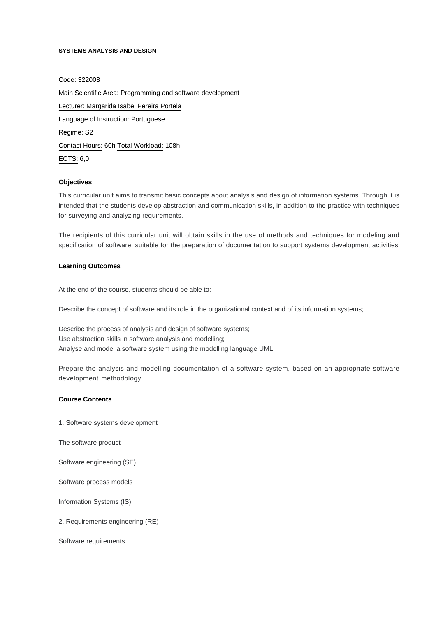#### **SYSTEMS ANALYSIS AND DESIGN**

Code: 322008

Main Scientific Area: Programming and software development Lecturer: [Margarida Isabel Pereira Portela](mailto:mportela@ipca.pt) Language of Instruction: Portuguese Regime: S2 Contact Hours: 60h Total Workload: 108h ECTS: 6,0

#### **Objectives**

This curricular unit aims to transmit basic concepts about analysis and design of information systems. Through it is intended that the students develop abstraction and communication skills, in addition to the practice with techniques for surveying and analyzing requirements.

The recipients of this curricular unit will obtain skills in the use of methods and techniques for modeling and specification of software, suitable for the preparation of documentation to support systems development activities.

### **Learning Outcomes**

At the end of the course, students should be able to:

Describe the concept of software and its role in the organizational context and of its information systems;

Describe the process of analysis and design of software systems; Use abstraction skills in software analysis and modelling; Analyse and model a software system using the modelling language UML;

Prepare the analysis and modelling documentation of a software system, based on an appropriate software development methodology.

# **Course Contents**

1. Software systems development

The software product

Software engineering (SE)

Software process models

Information Systems (IS)

2. Requirements engineering (RE)

Software requirements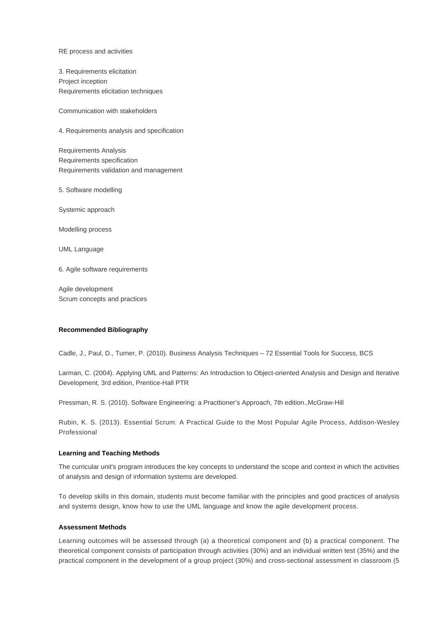RE process and activities

3. Requirements elicitation Project inception Requirements elicitation techniques

Communication with stakeholders

4. Requirements analysis and specification

Requirements Analysis Requirements specification Requirements validation and management

5. Software modelling

Systemic approach

Modelling process

UML Language

6. Agile software requirements

Agile development Scrum concepts and practices

#### **Recommended Bibliography**

Cadle, J., Paul, D., Turner, P. (2010). Business Analysis Techniques – 72 Essential Tools for Success, BCS

Larman, C. (2004). Applying UML and Patterns: An Introduction to Object-oriented Analysis and Design and Iterative Development, 3rd edition, Prentice-Hall PTR

Pressman, R. S. (2010). Software Engineering: a Practtioner's Approach, 7th edition.,McGraw-Hill

Rubin, K. S. (2013). Essential Scrum: A Practical Guide to the Most Popular Agile Process, Addison-Wesley Professional

# **Learning and Teaching Methods**

The curricular unit's program introduces the key concepts to understand the scope and context in which the activities of analysis and design of information systems are developed.

To develop skills in this domain, students must become familiar with the principles and good practices of analysis and systems design, know how to use the UML language and know the agile development process.

# **Assessment Methods**

Learning outcomes will be assessed through (a) a theoretical component and (b) a practical component. The theoretical component consists of participation through activities (30%) and an individual written test (35%) and the practical component in the development of a group project (30%) and cross-sectional assessment in classroom (5